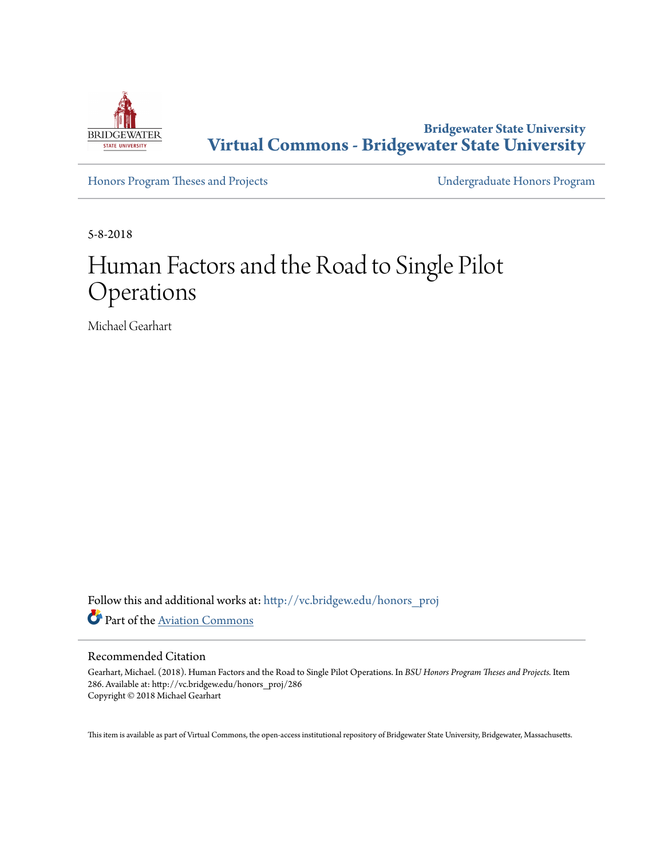

**Bridgewater State University [Virtual Commons - Bridgewater State University](http://vc.bridgew.edu?utm_source=vc.bridgew.edu%2Fhonors_proj%2F286&utm_medium=PDF&utm_campaign=PDFCoverPages)**

[Honors Program Theses and Projects](http://vc.bridgew.edu/honors_proj?utm_source=vc.bridgew.edu%2Fhonors_proj%2F286&utm_medium=PDF&utm_campaign=PDFCoverPages) [Undergraduate Honors Program](http://vc.bridgew.edu/honors?utm_source=vc.bridgew.edu%2Fhonors_proj%2F286&utm_medium=PDF&utm_campaign=PDFCoverPages)

5-8-2018

# Human Factors and the Road to Single Pilot Operations

Michael Gearhart

Follow this and additional works at: [http://vc.bridgew.edu/honors\\_proj](http://vc.bridgew.edu/honors_proj?utm_source=vc.bridgew.edu%2Fhonors_proj%2F286&utm_medium=PDF&utm_campaign=PDFCoverPages) Part of the [Aviation Commons](http://network.bepress.com/hgg/discipline/1297?utm_source=vc.bridgew.edu%2Fhonors_proj%2F286&utm_medium=PDF&utm_campaign=PDFCoverPages)

#### Recommended Citation

Gearhart, Michael. (2018). Human Factors and the Road to Single Pilot Operations. In *BSU Honors Program Theses and Projects.* Item 286. Available at: http://vc.bridgew.edu/honors\_proj/286 Copyright © 2018 Michael Gearhart

This item is available as part of Virtual Commons, the open-access institutional repository of Bridgewater State University, Bridgewater, Massachusetts.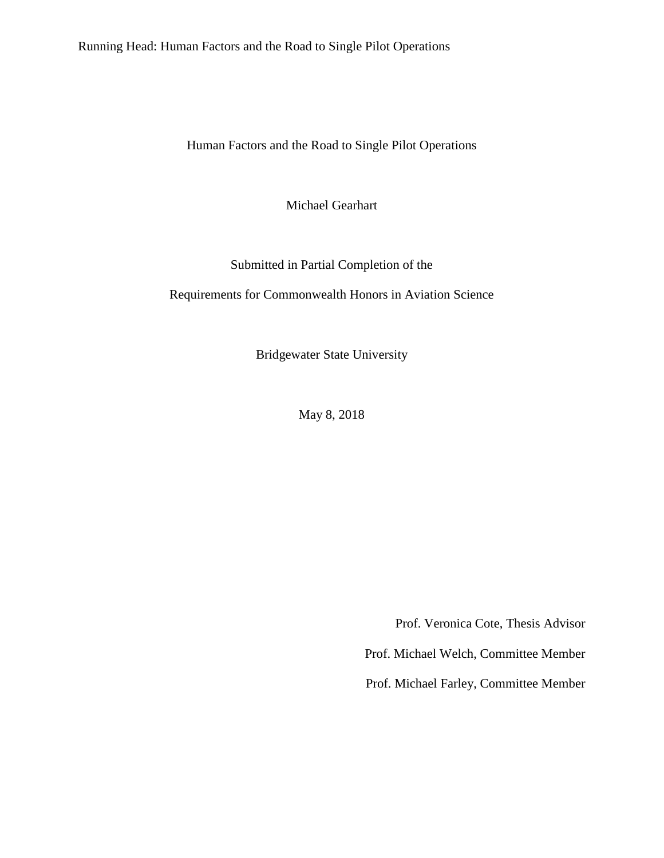Running Head: Human Factors and the Road to Single Pilot Operations

Human Factors and the Road to Single Pilot Operations

Michael Gearhart

Submitted in Partial Completion of the

Requirements for Commonwealth Honors in Aviation Science

Bridgewater State University

May 8, 2018

Prof. Veronica Cote, Thesis Advisor

Prof. Michael Welch, Committee Member

Prof. Michael Farley, Committee Member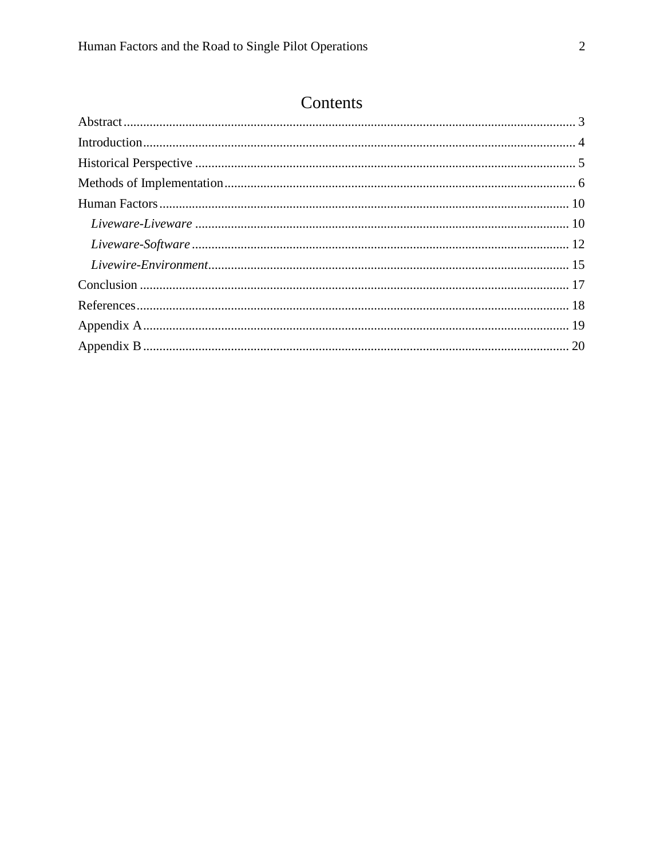# Contents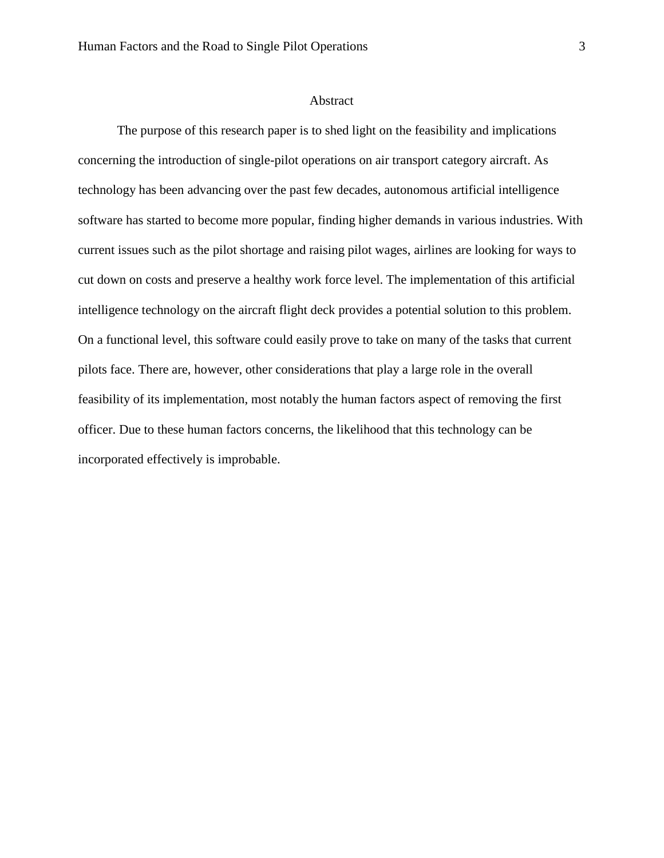#### Abstract

<span id="page-3-0"></span>The purpose of this research paper is to shed light on the feasibility and implications concerning the introduction of single-pilot operations on air transport category aircraft. As technology has been advancing over the past few decades, autonomous artificial intelligence software has started to become more popular, finding higher demands in various industries. With current issues such as the pilot shortage and raising pilot wages, airlines are looking for ways to cut down on costs and preserve a healthy work force level. The implementation of this artificial intelligence technology on the aircraft flight deck provides a potential solution to this problem. On a functional level, this software could easily prove to take on many of the tasks that current pilots face. There are, however, other considerations that play a large role in the overall feasibility of its implementation, most notably the human factors aspect of removing the first officer. Due to these human factors concerns, the likelihood that this technology can be incorporated effectively is improbable.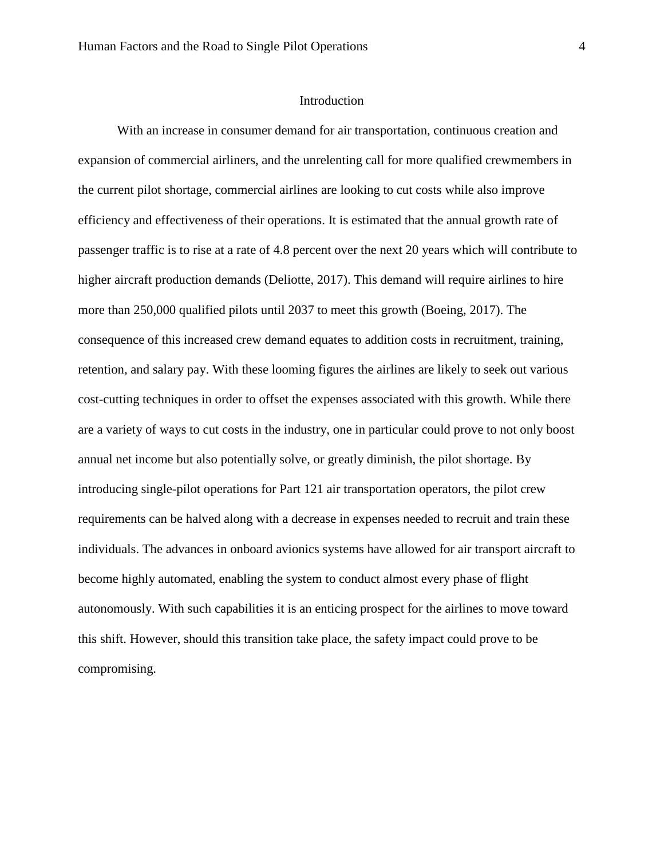#### Introduction

<span id="page-4-0"></span>With an increase in consumer demand for air transportation, continuous creation and expansion of commercial airliners, and the unrelenting call for more qualified crewmembers in the current pilot shortage, commercial airlines are looking to cut costs while also improve efficiency and effectiveness of their operations. It is estimated that the annual growth rate of passenger traffic is to rise at a rate of 4.8 percent over the next 20 years which will contribute to higher aircraft production demands (Deliotte, 2017). This demand will require airlines to hire more than 250,000 qualified pilots until 2037 to meet this growth (Boeing, 2017). The consequence of this increased crew demand equates to addition costs in recruitment, training, retention, and salary pay. With these looming figures the airlines are likely to seek out various cost-cutting techniques in order to offset the expenses associated with this growth. While there are a variety of ways to cut costs in the industry, one in particular could prove to not only boost annual net income but also potentially solve, or greatly diminish, the pilot shortage. By introducing single-pilot operations for Part 121 air transportation operators, the pilot crew requirements can be halved along with a decrease in expenses needed to recruit and train these individuals. The advances in onboard avionics systems have allowed for air transport aircraft to become highly automated, enabling the system to conduct almost every phase of flight autonomously. With such capabilities it is an enticing prospect for the airlines to move toward this shift. However, should this transition take place, the safety impact could prove to be compromising.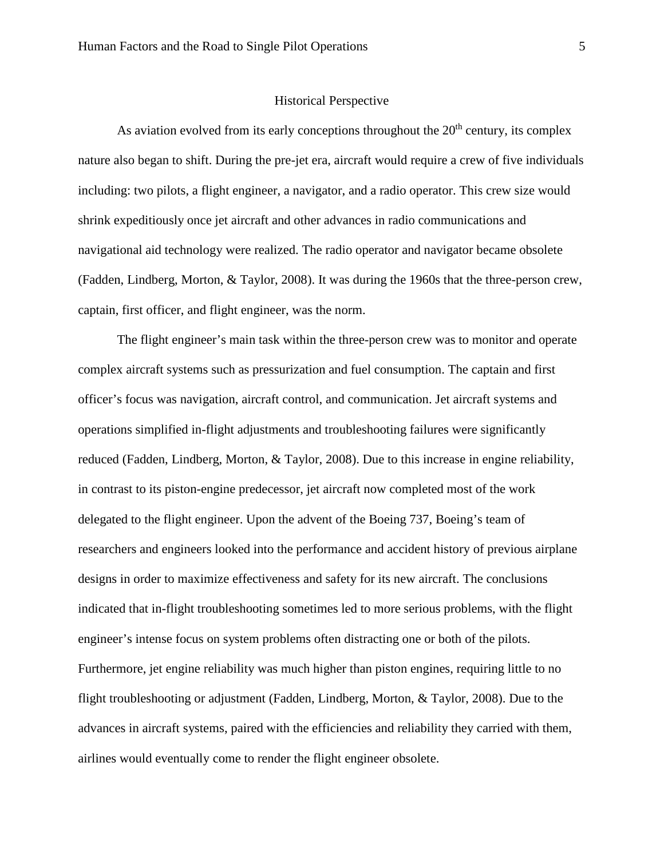#### Historical Perspective

<span id="page-5-0"></span>As aviation evolved from its early conceptions throughout the  $20<sup>th</sup>$  century, its complex nature also began to shift. During the pre-jet era, aircraft would require a crew of five individuals including: two pilots, a flight engineer, a navigator, and a radio operator. This crew size would shrink expeditiously once jet aircraft and other advances in radio communications and navigational aid technology were realized. The radio operator and navigator became obsolete (Fadden, Lindberg, Morton, & Taylor, 2008). It was during the 1960s that the three-person crew, captain, first officer, and flight engineer, was the norm.

The flight engineer's main task within the three-person crew was to monitor and operate complex aircraft systems such as pressurization and fuel consumption. The captain and first officer's focus was navigation, aircraft control, and communication. Jet aircraft systems and operations simplified in-flight adjustments and troubleshooting failures were significantly reduced (Fadden, Lindberg, Morton, & Taylor, 2008). Due to this increase in engine reliability, in contrast to its piston-engine predecessor, jet aircraft now completed most of the work delegated to the flight engineer. Upon the advent of the Boeing 737, Boeing's team of researchers and engineers looked into the performance and accident history of previous airplane designs in order to maximize effectiveness and safety for its new aircraft. The conclusions indicated that in-flight troubleshooting sometimes led to more serious problems, with the flight engineer's intense focus on system problems often distracting one or both of the pilots. Furthermore, jet engine reliability was much higher than piston engines, requiring little to no flight troubleshooting or adjustment (Fadden, Lindberg, Morton, & Taylor, 2008). Due to the advances in aircraft systems, paired with the efficiencies and reliability they carried with them, airlines would eventually come to render the flight engineer obsolete.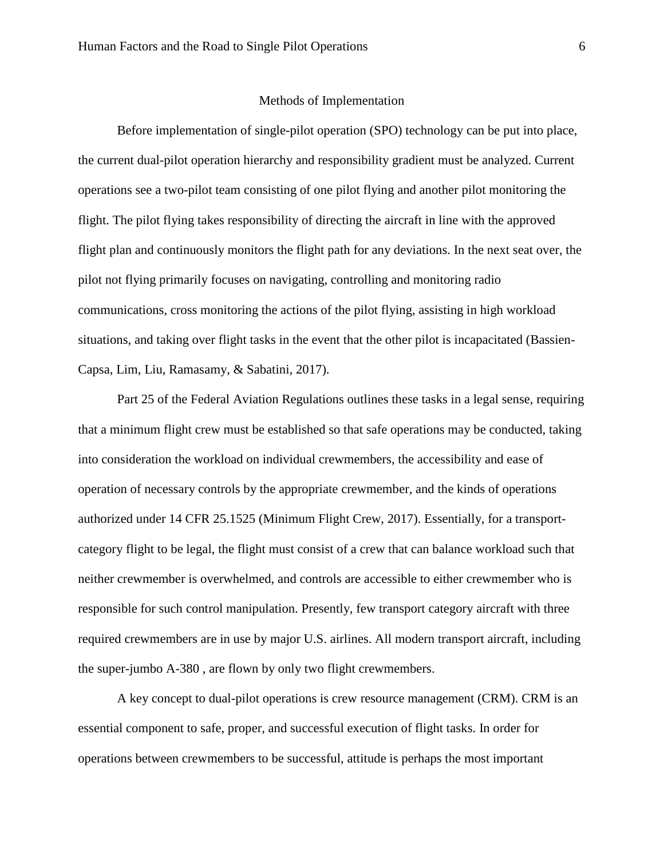#### Methods of Implementation

<span id="page-6-0"></span>Before implementation of single-pilot operation (SPO) technology can be put into place, the current dual-pilot operation hierarchy and responsibility gradient must be analyzed. Current operations see a two-pilot team consisting of one pilot flying and another pilot monitoring the flight. The pilot flying takes responsibility of directing the aircraft in line with the approved flight plan and continuously monitors the flight path for any deviations. In the next seat over, the pilot not flying primarily focuses on navigating, controlling and monitoring radio communications, cross monitoring the actions of the pilot flying, assisting in high workload situations, and taking over flight tasks in the event that the other pilot is incapacitated (Bassien-Capsa, Lim, Liu, Ramasamy, & Sabatini, 2017).

Part 25 of the Federal Aviation Regulations outlines these tasks in a legal sense, requiring that a minimum flight crew must be established so that safe operations may be conducted, taking into consideration the workload on individual crewmembers, the accessibility and ease of operation of necessary controls by the appropriate crewmember, and the kinds of operations authorized under 14 CFR 25.1525 (Minimum Flight Crew, 2017). Essentially, for a transportcategory flight to be legal, the flight must consist of a crew that can balance workload such that neither crewmember is overwhelmed, and controls are accessible to either crewmember who is responsible for such control manipulation. Presently, few transport category aircraft with three required crewmembers are in use by major U.S. airlines. All modern transport aircraft, including the super-jumbo A-380 , are flown by only two flight crewmembers.

A key concept to dual-pilot operations is crew resource management (CRM). CRM is an essential component to safe, proper, and successful execution of flight tasks. In order for operations between crewmembers to be successful, attitude is perhaps the most important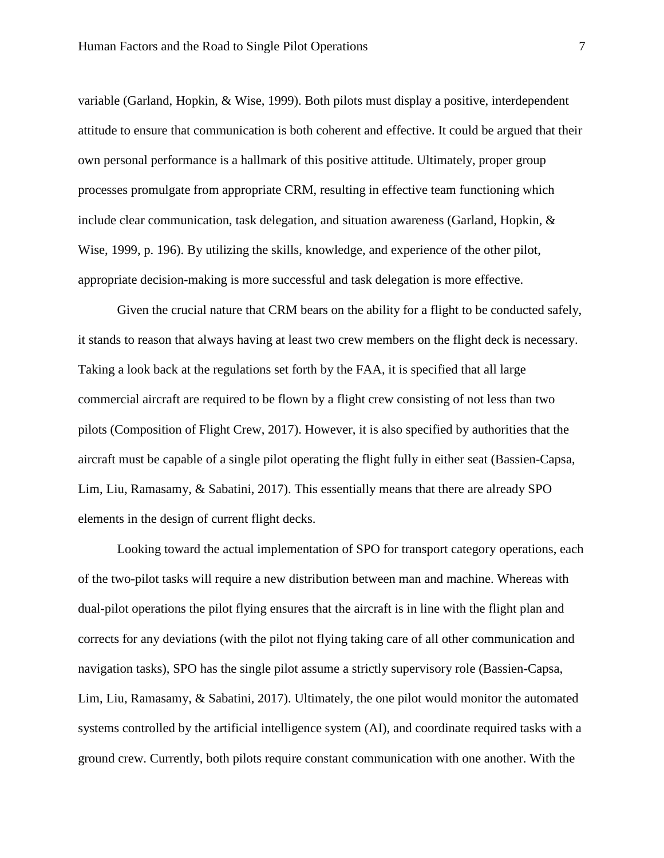variable (Garland, Hopkin, & Wise, 1999). Both pilots must display a positive, interdependent attitude to ensure that communication is both coherent and effective. It could be argued that their own personal performance is a hallmark of this positive attitude. Ultimately, proper group processes promulgate from appropriate CRM, resulting in effective team functioning which include clear communication, task delegation, and situation awareness (Garland, Hopkin, & Wise, 1999, p. 196). By utilizing the skills, knowledge, and experience of the other pilot, appropriate decision-making is more successful and task delegation is more effective.

Given the crucial nature that CRM bears on the ability for a flight to be conducted safely, it stands to reason that always having at least two crew members on the flight deck is necessary. Taking a look back at the regulations set forth by the FAA, it is specified that all large commercial aircraft are required to be flown by a flight crew consisting of not less than two pilots (Composition of Flight Crew, 2017). However, it is also specified by authorities that the aircraft must be capable of a single pilot operating the flight fully in either seat (Bassien-Capsa, Lim, Liu, Ramasamy, & Sabatini, 2017). This essentially means that there are already SPO elements in the design of current flight decks.

Looking toward the actual implementation of SPO for transport category operations, each of the two-pilot tasks will require a new distribution between man and machine. Whereas with dual-pilot operations the pilot flying ensures that the aircraft is in line with the flight plan and corrects for any deviations (with the pilot not flying taking care of all other communication and navigation tasks), SPO has the single pilot assume a strictly supervisory role (Bassien-Capsa, Lim, Liu, Ramasamy, & Sabatini, 2017). Ultimately, the one pilot would monitor the automated systems controlled by the artificial intelligence system (AI), and coordinate required tasks with a ground crew. Currently, both pilots require constant communication with one another. With the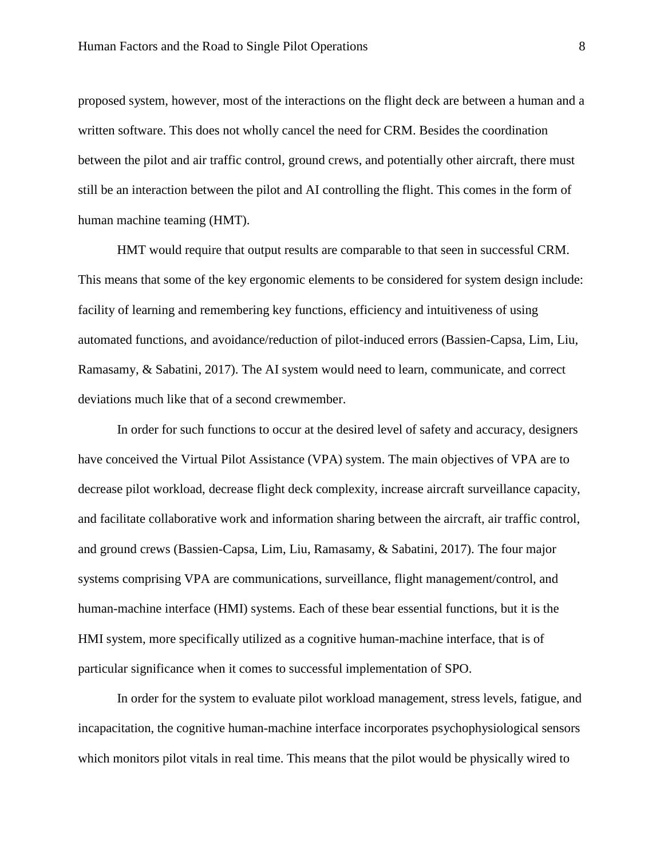proposed system, however, most of the interactions on the flight deck are between a human and a written software. This does not wholly cancel the need for CRM. Besides the coordination between the pilot and air traffic control, ground crews, and potentially other aircraft, there must still be an interaction between the pilot and AI controlling the flight. This comes in the form of human machine teaming (HMT).

HMT would require that output results are comparable to that seen in successful CRM. This means that some of the key ergonomic elements to be considered for system design include: facility of learning and remembering key functions, efficiency and intuitiveness of using automated functions, and avoidance/reduction of pilot-induced errors (Bassien-Capsa, Lim, Liu, Ramasamy, & Sabatini, 2017). The AI system would need to learn, communicate, and correct deviations much like that of a second crewmember.

In order for such functions to occur at the desired level of safety and accuracy, designers have conceived the Virtual Pilot Assistance (VPA) system. The main objectives of VPA are to decrease pilot workload, decrease flight deck complexity, increase aircraft surveillance capacity, and facilitate collaborative work and information sharing between the aircraft, air traffic control, and ground crews (Bassien-Capsa, Lim, Liu, Ramasamy, & Sabatini, 2017). The four major systems comprising VPA are communications, surveillance, flight management/control, and human-machine interface (HMI) systems. Each of these bear essential functions, but it is the HMI system, more specifically utilized as a cognitive human-machine interface, that is of particular significance when it comes to successful implementation of SPO.

In order for the system to evaluate pilot workload management, stress levels, fatigue, and incapacitation, the cognitive human-machine interface incorporates psychophysiological sensors which monitors pilot vitals in real time. This means that the pilot would be physically wired to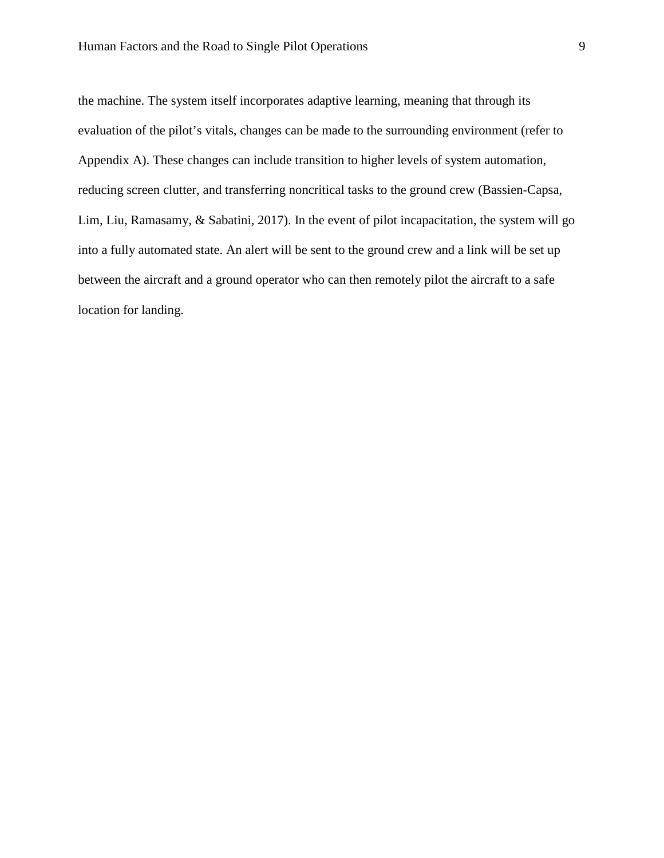the machine. The system itself incorporates adaptive learning, meaning that through its evaluation of the pilot's vitals, changes can be made to the surrounding environment (refer to Appendix A). These changes can include transition to higher levels of system automation, reducing screen clutter, and transferring noncritical tasks to the ground crew (Bassien-Capsa, Lim, Liu, Ramasamy, & Sabatini, 2017). In the event of pilot incapacitation, the system will go into a fully automated state. An alert will be sent to the ground crew and a link will be set up between the aircraft and a ground operator who can then remotely pilot the aircraft to a safe location for landing.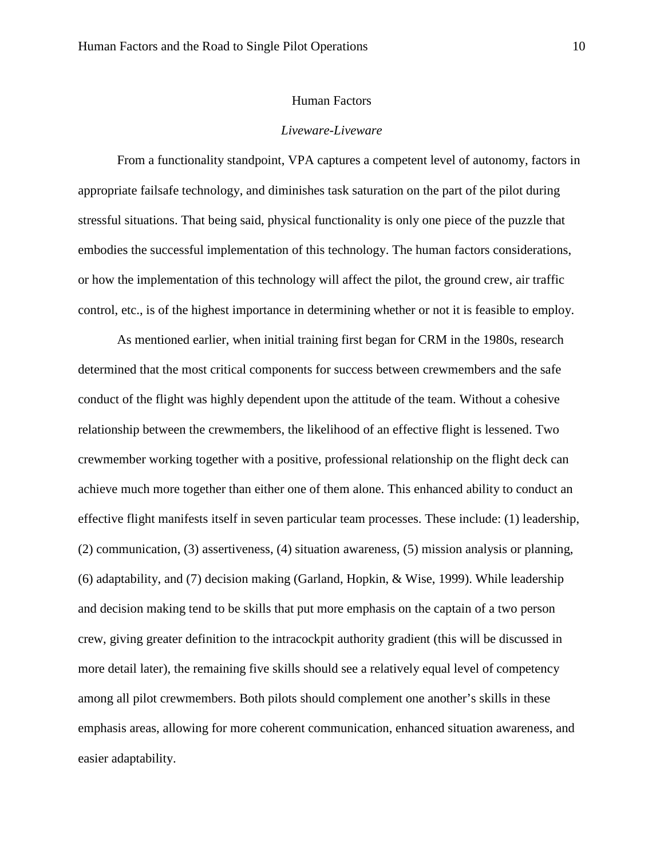#### Human Factors

# *Liveware-Liveware*

<span id="page-10-1"></span><span id="page-10-0"></span>From a functionality standpoint, VPA captures a competent level of autonomy, factors in appropriate failsafe technology, and diminishes task saturation on the part of the pilot during stressful situations. That being said, physical functionality is only one piece of the puzzle that embodies the successful implementation of this technology. The human factors considerations, or how the implementation of this technology will affect the pilot, the ground crew, air traffic control, etc., is of the highest importance in determining whether or not it is feasible to employ.

As mentioned earlier, when initial training first began for CRM in the 1980s, research determined that the most critical components for success between crewmembers and the safe conduct of the flight was highly dependent upon the attitude of the team. Without a cohesive relationship between the crewmembers, the likelihood of an effective flight is lessened. Two crewmember working together with a positive, professional relationship on the flight deck can achieve much more together than either one of them alone. This enhanced ability to conduct an effective flight manifests itself in seven particular team processes. These include: (1) leadership, (2) communication, (3) assertiveness, (4) situation awareness, (5) mission analysis or planning, (6) adaptability, and (7) decision making (Garland, Hopkin, & Wise, 1999). While leadership and decision making tend to be skills that put more emphasis on the captain of a two person crew, giving greater definition to the intracockpit authority gradient (this will be discussed in more detail later), the remaining five skills should see a relatively equal level of competency among all pilot crewmembers. Both pilots should complement one another's skills in these emphasis areas, allowing for more coherent communication, enhanced situation awareness, and easier adaptability.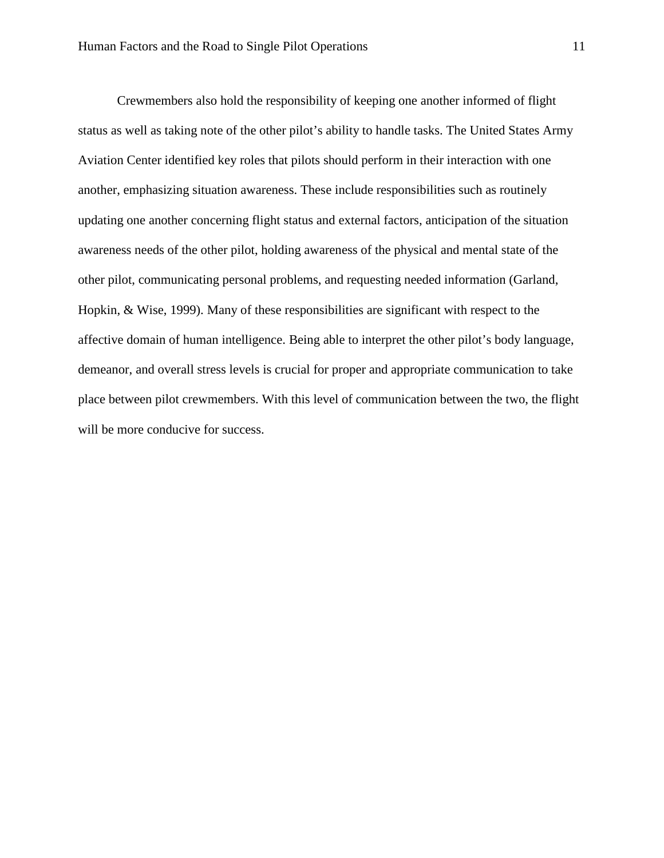Crewmembers also hold the responsibility of keeping one another informed of flight status as well as taking note of the other pilot's ability to handle tasks. The United States Army Aviation Center identified key roles that pilots should perform in their interaction with one another, emphasizing situation awareness. These include responsibilities such as routinely updating one another concerning flight status and external factors, anticipation of the situation awareness needs of the other pilot, holding awareness of the physical and mental state of the other pilot, communicating personal problems, and requesting needed information (Garland, Hopkin, & Wise, 1999). Many of these responsibilities are significant with respect to the affective domain of human intelligence. Being able to interpret the other pilot's body language, demeanor, and overall stress levels is crucial for proper and appropriate communication to take place between pilot crewmembers. With this level of communication between the two, the flight will be more conducive for success.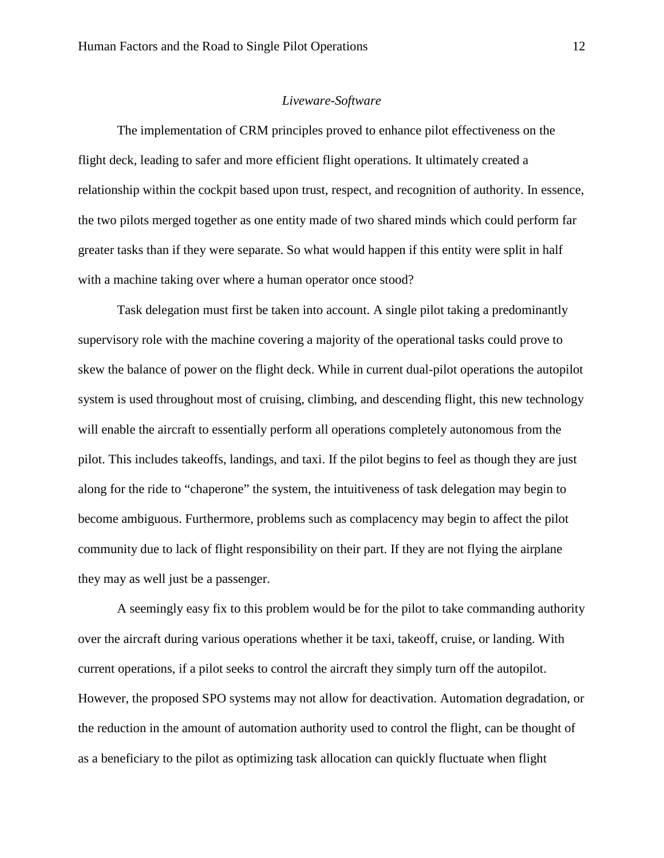# *Liveware-Software*

<span id="page-12-0"></span>The implementation of CRM principles proved to enhance pilot effectiveness on the flight deck, leading to safer and more efficient flight operations. It ultimately created a relationship within the cockpit based upon trust, respect, and recognition of authority. In essence, the two pilots merged together as one entity made of two shared minds which could perform far greater tasks than if they were separate. So what would happen if this entity were split in half with a machine taking over where a human operator once stood?

Task delegation must first be taken into account. A single pilot taking a predominantly supervisory role with the machine covering a majority of the operational tasks could prove to skew the balance of power on the flight deck. While in current dual-pilot operations the autopilot system is used throughout most of cruising, climbing, and descending flight, this new technology will enable the aircraft to essentially perform all operations completely autonomous from the pilot. This includes takeoffs, landings, and taxi. If the pilot begins to feel as though they are just along for the ride to "chaperone" the system, the intuitiveness of task delegation may begin to become ambiguous. Furthermore, problems such as complacency may begin to affect the pilot community due to lack of flight responsibility on their part. If they are not flying the airplane they may as well just be a passenger.

A seemingly easy fix to this problem would be for the pilot to take commanding authority over the aircraft during various operations whether it be taxi, takeoff, cruise, or landing. With current operations, if a pilot seeks to control the aircraft they simply turn off the autopilot. However, the proposed SPO systems may not allow for deactivation. Automation degradation, or the reduction in the amount of automation authority used to control the flight, can be thought of as a beneficiary to the pilot as optimizing task allocation can quickly fluctuate when flight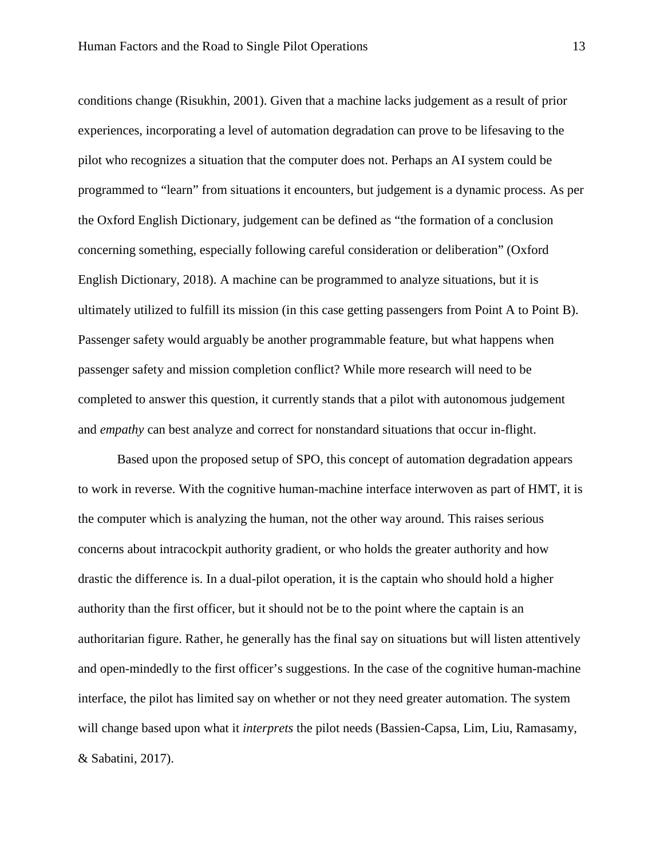conditions change (Risukhin, 2001). Given that a machine lacks judgement as a result of prior experiences, incorporating a level of automation degradation can prove to be lifesaving to the pilot who recognizes a situation that the computer does not. Perhaps an AI system could be programmed to "learn" from situations it encounters, but judgement is a dynamic process. As per the Oxford English Dictionary, judgement can be defined as "the formation of a conclusion concerning something, especially following careful consideration or deliberation" (Oxford English Dictionary, 2018). A machine can be programmed to analyze situations, but it is ultimately utilized to fulfill its mission (in this case getting passengers from Point A to Point B). Passenger safety would arguably be another programmable feature, but what happens when passenger safety and mission completion conflict? While more research will need to be completed to answer this question, it currently stands that a pilot with autonomous judgement and *empathy* can best analyze and correct for nonstandard situations that occur in-flight.

Based upon the proposed setup of SPO, this concept of automation degradation appears to work in reverse. With the cognitive human-machine interface interwoven as part of HMT, it is the computer which is analyzing the human, not the other way around. This raises serious concerns about intracockpit authority gradient, or who holds the greater authority and how drastic the difference is. In a dual-pilot operation, it is the captain who should hold a higher authority than the first officer, but it should not be to the point where the captain is an authoritarian figure. Rather, he generally has the final say on situations but will listen attentively and open-mindedly to the first officer's suggestions. In the case of the cognitive human-machine interface, the pilot has limited say on whether or not they need greater automation. The system will change based upon what it *interprets* the pilot needs (Bassien-Capsa, Lim, Liu, Ramasamy, & Sabatini, 2017).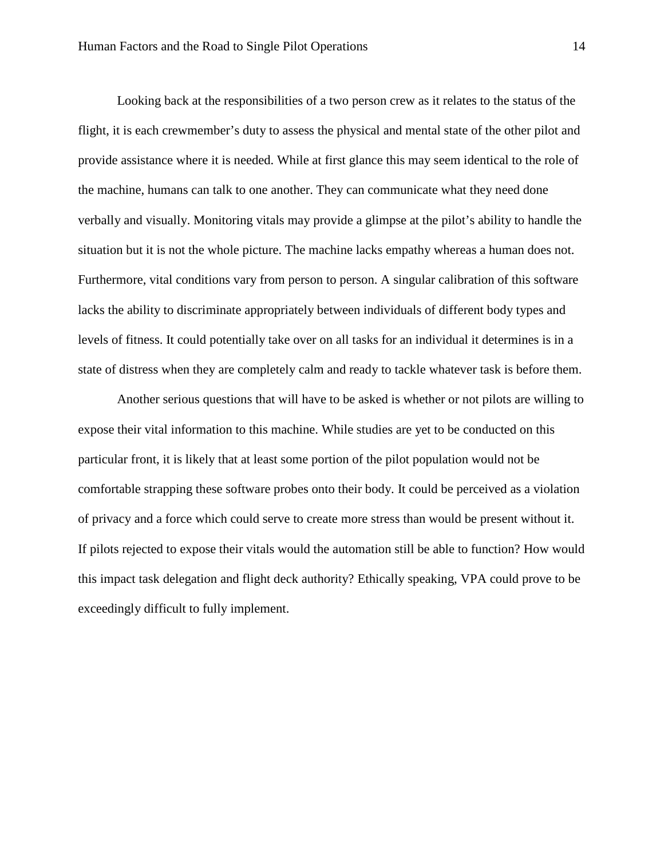Looking back at the responsibilities of a two person crew as it relates to the status of the flight, it is each crewmember's duty to assess the physical and mental state of the other pilot and provide assistance where it is needed. While at first glance this may seem identical to the role of the machine, humans can talk to one another. They can communicate what they need done verbally and visually. Monitoring vitals may provide a glimpse at the pilot's ability to handle the situation but it is not the whole picture. The machine lacks empathy whereas a human does not. Furthermore, vital conditions vary from person to person. A singular calibration of this software lacks the ability to discriminate appropriately between individuals of different body types and levels of fitness. It could potentially take over on all tasks for an individual it determines is in a state of distress when they are completely calm and ready to tackle whatever task is before them.

Another serious questions that will have to be asked is whether or not pilots are willing to expose their vital information to this machine. While studies are yet to be conducted on this particular front, it is likely that at least some portion of the pilot population would not be comfortable strapping these software probes onto their body. It could be perceived as a violation of privacy and a force which could serve to create more stress than would be present without it. If pilots rejected to expose their vitals would the automation still be able to function? How would this impact task delegation and flight deck authority? Ethically speaking, VPA could prove to be exceedingly difficult to fully implement.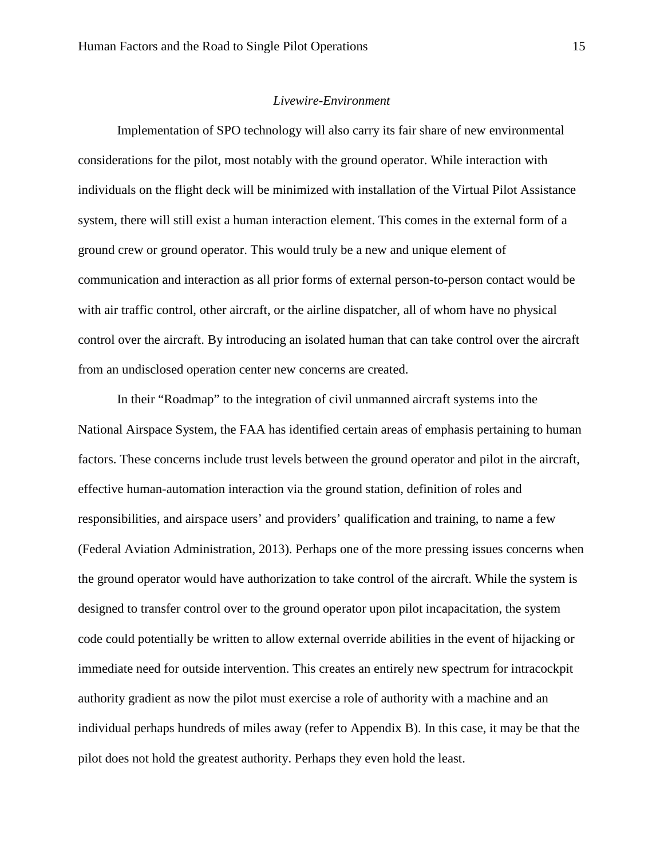#### *Livewire-Environment*

<span id="page-15-0"></span>Implementation of SPO technology will also carry its fair share of new environmental considerations for the pilot, most notably with the ground operator. While interaction with individuals on the flight deck will be minimized with installation of the Virtual Pilot Assistance system, there will still exist a human interaction element. This comes in the external form of a ground crew or ground operator. This would truly be a new and unique element of communication and interaction as all prior forms of external person-to-person contact would be with air traffic control, other aircraft, or the airline dispatcher, all of whom have no physical control over the aircraft. By introducing an isolated human that can take control over the aircraft from an undisclosed operation center new concerns are created.

In their "Roadmap" to the integration of civil unmanned aircraft systems into the National Airspace System, the FAA has identified certain areas of emphasis pertaining to human factors. These concerns include trust levels between the ground operator and pilot in the aircraft, effective human-automation interaction via the ground station, definition of roles and responsibilities, and airspace users' and providers' qualification and training, to name a few (Federal Aviation Administration, 2013). Perhaps one of the more pressing issues concerns when the ground operator would have authorization to take control of the aircraft. While the system is designed to transfer control over to the ground operator upon pilot incapacitation, the system code could potentially be written to allow external override abilities in the event of hijacking or immediate need for outside intervention. This creates an entirely new spectrum for intracockpit authority gradient as now the pilot must exercise a role of authority with a machine and an individual perhaps hundreds of miles away (refer to Appendix B). In this case, it may be that the pilot does not hold the greatest authority. Perhaps they even hold the least.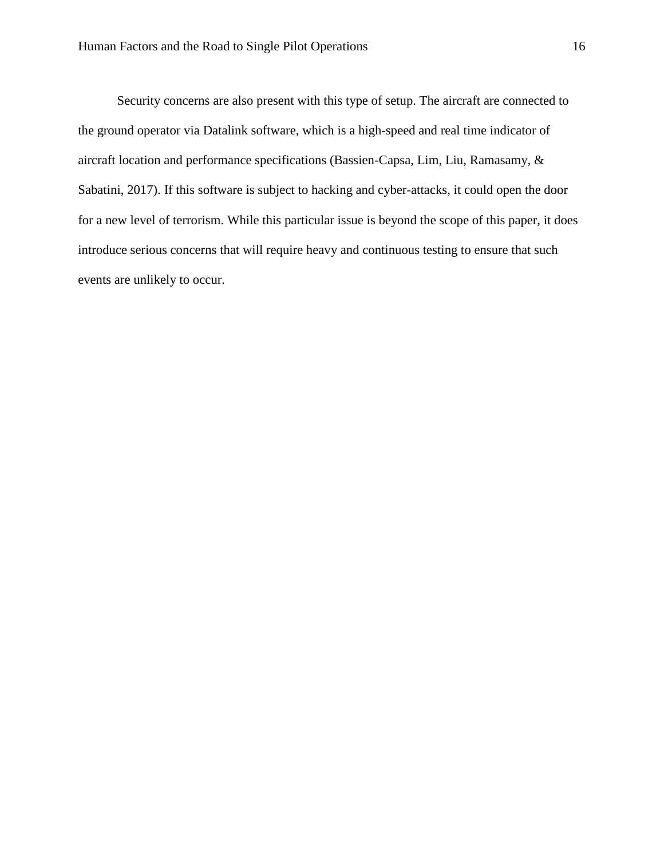Security concerns are also present with this type of setup. The aircraft are connected to the ground operator via Datalink software, which is a high-speed and real time indicator of aircraft location and performance specifications (Bassien-Capsa, Lim, Liu, Ramasamy, & Sabatini, 2017). If this software is subject to hacking and cyber-attacks, it could open the door for a new level of terrorism. While this particular issue is beyond the scope of this paper, it does introduce serious concerns that will require heavy and continuous testing to ensure that such events are unlikely to occur.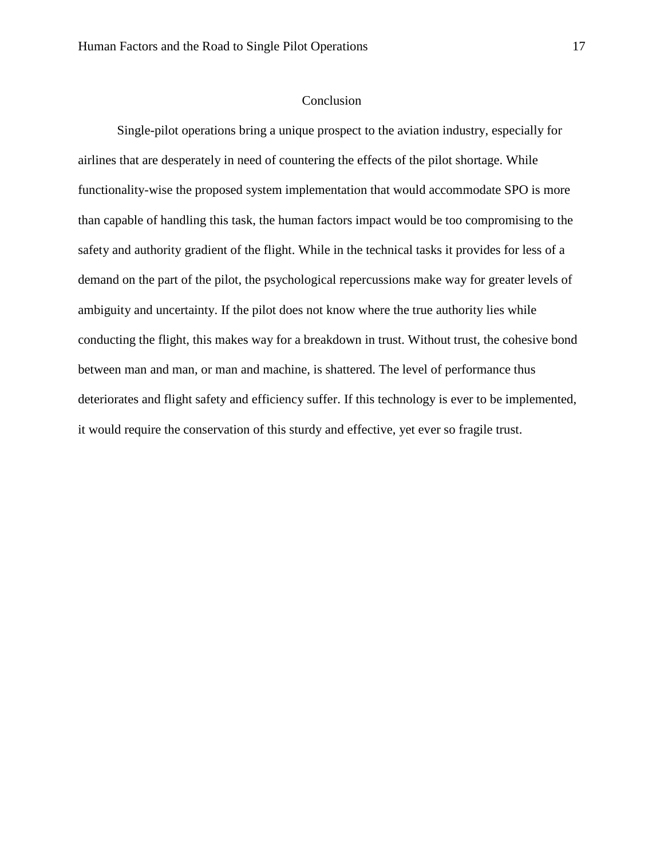#### Conclusion

<span id="page-17-0"></span>Single-pilot operations bring a unique prospect to the aviation industry, especially for airlines that are desperately in need of countering the effects of the pilot shortage. While functionality-wise the proposed system implementation that would accommodate SPO is more than capable of handling this task, the human factors impact would be too compromising to the safety and authority gradient of the flight. While in the technical tasks it provides for less of a demand on the part of the pilot, the psychological repercussions make way for greater levels of ambiguity and uncertainty. If the pilot does not know where the true authority lies while conducting the flight, this makes way for a breakdown in trust. Without trust, the cohesive bond between man and man, or man and machine, is shattered. The level of performance thus deteriorates and flight safety and efficiency suffer. If this technology is ever to be implemented, it would require the conservation of this sturdy and effective, yet ever so fragile trust.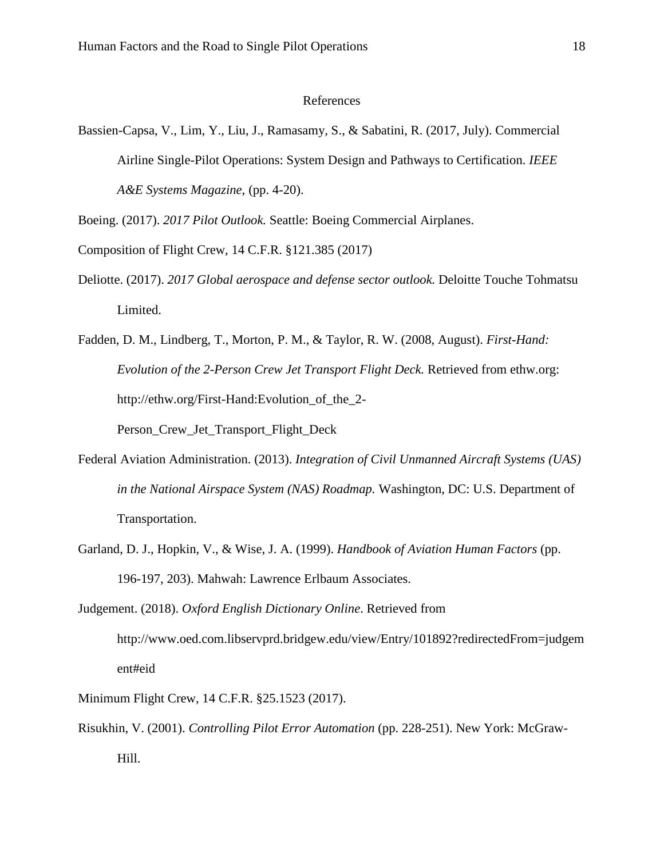# <span id="page-18-0"></span>References

Bassien-Capsa, V., Lim, Y., Liu, J., Ramasamy, S., & Sabatini, R. (2017, July). Commercial Airline Single-Pilot Operations: System Design and Pathways to Certification. *IEEE A&E Systems Magazine*, (pp. 4-20).

Boeing. (2017). *2017 Pilot Outlook.* Seattle: Boeing Commercial Airplanes.

- Composition of Flight Crew, 14 C.F.R. §121.385 (2017)
- Deliotte. (2017). *2017 Global aerospace and defense sector outlook.* Deloitte Touche Tohmatsu Limited.

Fadden, D. M., Lindberg, T., Morton, P. M., & Taylor, R. W. (2008, August). *First-Hand: Evolution of the 2-Person Crew Jet Transport Flight Deck.* Retrieved from ethw.org: http://ethw.org/First-Hand:Evolution\_of\_the\_2- Person Crew Jet Transport Flight Deck

- Federal Aviation Administration. (2013). *Integration of Civil Unmanned Aircraft Systems (UAS) in the National Airspace System (NAS) Roadmap.* Washington, DC: U.S. Department of Transportation.
- Garland, D. J., Hopkin, V., & Wise, J. A. (1999). *Handbook of Aviation Human Factors* (pp. 196-197, 203). Mahwah: Lawrence Erlbaum Associates.
- Judgement. (2018). *Oxford English Dictionary Online*. Retrieved from http://www.oed.com.libservprd.bridgew.edu/view/Entry/101892?redirectedFrom=judgem ent#eid
- Minimum Flight Crew, 14 C.F.R. §25.1523 (2017).
- Risukhin, V. (2001). *Controlling Pilot Error Automation* (pp. 228-251). New York: McGraw-Hill.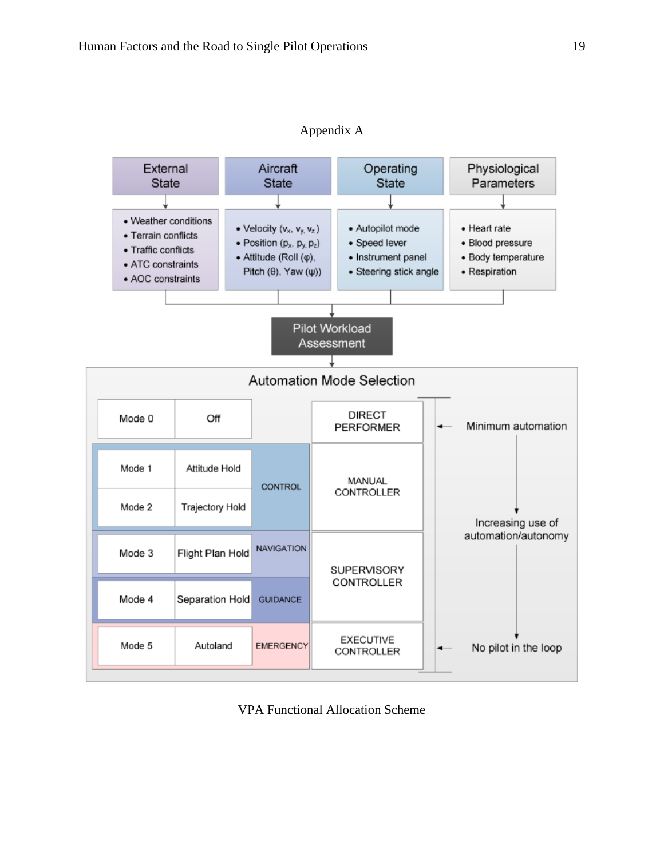<span id="page-19-0"></span>

Appendix A

VPA Functional Allocation Scheme